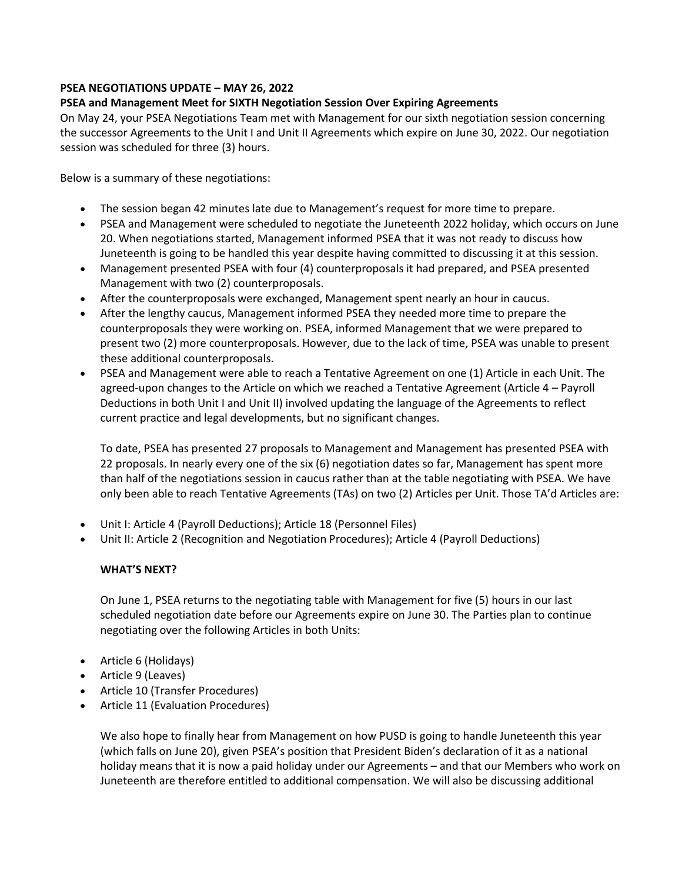## **PSEA NEGOTIATIONS UPDATE – MAY 26, 2022**

## **PSEA and Management Meet for SIXTH Negotiation Session Over Expiring Agreements**

On May 24, your PSEA Negotiations Team met with Management for our sixth negotiation session concerning the successor Agreements to the Unit I and Unit II Agreements which expire on June 30, 2022. Our negotiation session was scheduled for three (3) hours.

Below is a summary of these negotiations:

- The session began 42 minutes late due to Management's request for more time to prepare.
- PSEA and Management were scheduled to negotiate the Juneteenth 2022 holiday, which occurs on June 20. When negotiations started, Management informed PSEA that it was not ready to discuss how Juneteenth is going to be handled this year despite having committed to discussing it at this session.
- Management presented PSEA with four (4) counterproposals it had prepared, and PSEA presented Management with two (2) counterproposals.
- After the counterproposals were exchanged, Management spent nearly an hour in caucus.
- After the lengthy caucus, Management informed PSEA they needed more time to prepare the counterproposals they were working on. PSEA, informed Management that we were prepared to present two (2) more counterproposals. However, due to the lack of time, PSEA was unable to present these additional counterproposals.
- PSEA and Management were able to reach a Tentative Agreement on one (1) Article in each Unit. The agreed-upon changes to the Article on which we reached a Tentative Agreement (Article 4 – Payroll Deductions in both Unit I and Unit II) involved updating the language of the Agreements to reflect current practice and legal developments, but no significant changes.

To date, PSEA has presented 27 proposals to Management and Management has presented PSEA with 22 proposals. In nearly every one of the six (6) negotiation dates so far, Management has spent more than half of the negotiations session in caucus rather than at the table negotiating with PSEA. We have only been able to reach Tentative Agreements (TAs) on two (2) Articles per Unit. Those TA'd Articles are:

- Unit I: Article 4 (Payroll Deductions); Article 18 (Personnel Files)
- Unit II: Article 2 (Recognition and Negotiation Procedures); Article 4 (Payroll Deductions)

## **WHAT'S NEXT?**

On June 1, PSEA returns to the negotiating table with Management for five (5) hours in our last scheduled negotiation date before our Agreements expire on June 30. The Parties plan to continue negotiating over the following Articles in both Units:

- Article 6 (Holidays)
- Article 9 (Leaves)
- Article 10 (Transfer Procedures)
- Article 11 (Evaluation Procedures)

We also hope to finally hear from Management on how PUSD is going to handle Juneteenth this year (which falls on June 20), given PSEA's position that President Biden's declaration of it as a national holiday means that it is now a paid holiday under our Agreements – and that our Members who work on Juneteenth are therefore entitled to additional compensation. We will also be discussing additional